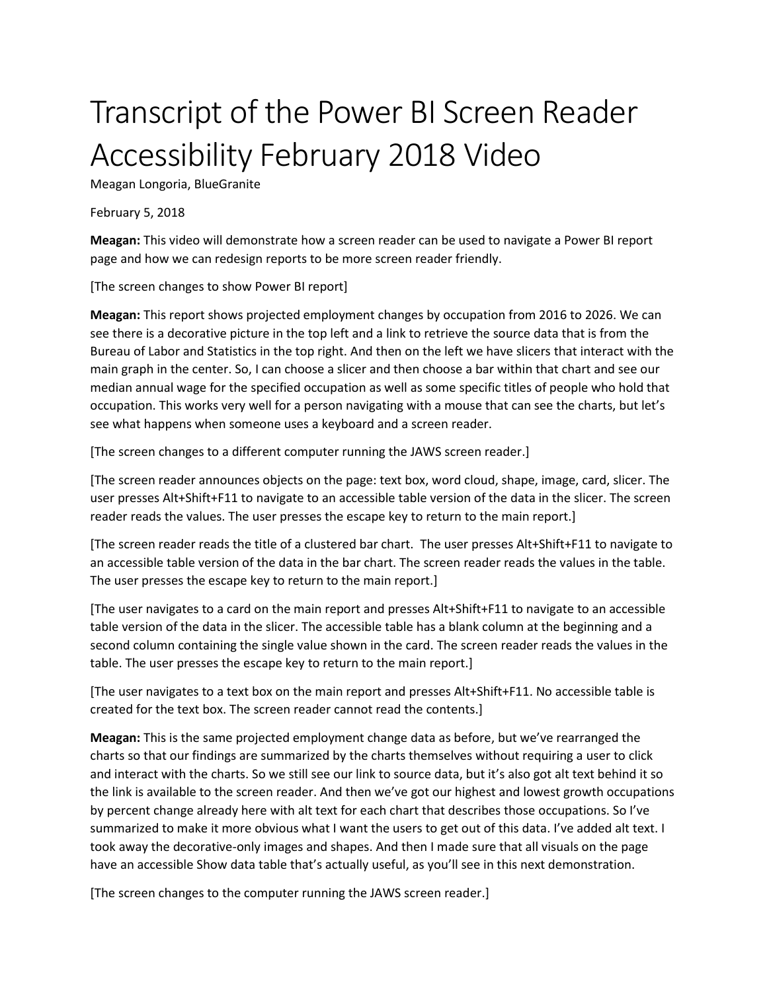## Transcript of the Power BI Screen Reader Accessibility February 2018 Video

Meagan Longoria, BlueGranite

February 5, 2018

**Meagan:** This video will demonstrate how a screen reader can be used to navigate a Power BI report page and how we can redesign reports to be more screen reader friendly.

[The screen changes to show Power BI report]

**Meagan:** This report shows projected employment changes by occupation from 2016 to 2026. We can see there is a decorative picture in the top left and a link to retrieve the source data that is from the Bureau of Labor and Statistics in the top right. And then on the left we have slicers that interact with the main graph in the center. So, I can choose a slicer and then choose a bar within that chart and see our median annual wage for the specified occupation as well as some specific titles of people who hold that occupation. This works very well for a person navigating with a mouse that can see the charts, but let's see what happens when someone uses a keyboard and a screen reader.

[The screen changes to a different computer running the JAWS screen reader.]

[The screen reader announces objects on the page: text box, word cloud, shape, image, card, slicer. The user presses Alt+Shift+F11 to navigate to an accessible table version of the data in the slicer. The screen reader reads the values. The user presses the escape key to return to the main report.]

[The screen reader reads the title of a clustered bar chart. The user presses Alt+Shift+F11 to navigate to an accessible table version of the data in the bar chart. The screen reader reads the values in the table. The user presses the escape key to return to the main report.]

[The user navigates to a card on the main report and presses Alt+Shift+F11 to navigate to an accessible table version of the data in the slicer. The accessible table has a blank column at the beginning and a second column containing the single value shown in the card. The screen reader reads the values in the table. The user presses the escape key to return to the main report.]

[The user navigates to a text box on the main report and presses Alt+Shift+F11. No accessible table is created for the text box. The screen reader cannot read the contents.]

**Meagan:** This is the same projected employment change data as before, but we've rearranged the charts so that our findings are summarized by the charts themselves without requiring a user to click and interact with the charts. So we still see our link to source data, but it's also got alt text behind it so the link is available to the screen reader. And then we've got our highest and lowest growth occupations by percent change already here with alt text for each chart that describes those occupations. So I've summarized to make it more obvious what I want the users to get out of this data. I've added alt text. I took away the decorative-only images and shapes. And then I made sure that all visuals on the page have an accessible Show data table that's actually useful, as you'll see in this next demonstration.

[The screen changes to the computer running the JAWS screen reader.]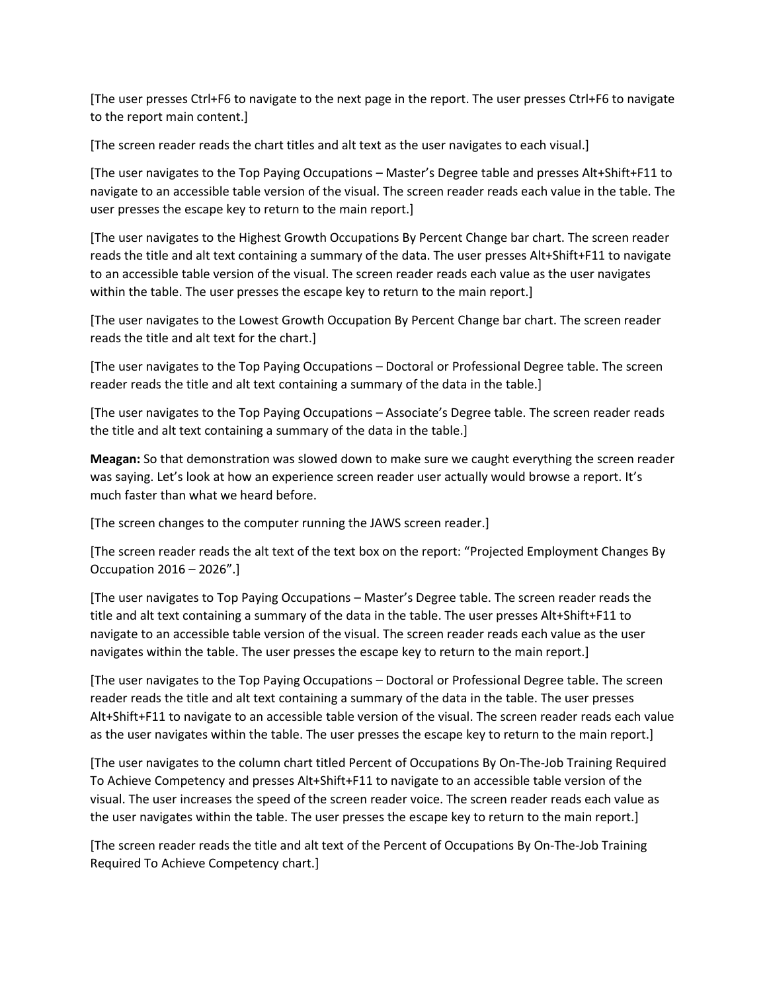[The user presses Ctrl+F6 to navigate to the next page in the report. The user presses Ctrl+F6 to navigate to the report main content.]

[The screen reader reads the chart titles and alt text as the user navigates to each visual.]

[The user navigates to the Top Paying Occupations – Master's Degree table and presses Alt+Shift+F11 to navigate to an accessible table version of the visual. The screen reader reads each value in the table. The user presses the escape key to return to the main report.]

[The user navigates to the Highest Growth Occupations By Percent Change bar chart. The screen reader reads the title and alt text containing a summary of the data. The user presses Alt+Shift+F11 to navigate to an accessible table version of the visual. The screen reader reads each value as the user navigates within the table. The user presses the escape key to return to the main report.]

[The user navigates to the Lowest Growth Occupation By Percent Change bar chart. The screen reader reads the title and alt text for the chart.]

[The user navigates to the Top Paying Occupations – Doctoral or Professional Degree table. The screen reader reads the title and alt text containing a summary of the data in the table.]

[The user navigates to the Top Paying Occupations – Associate's Degree table. The screen reader reads the title and alt text containing a summary of the data in the table.]

**Meagan:** So that demonstration was slowed down to make sure we caught everything the screen reader was saying. Let's look at how an experience screen reader user actually would browse a report. It's much faster than what we heard before.

[The screen changes to the computer running the JAWS screen reader.]

[The screen reader reads the alt text of the text box on the report: "Projected Employment Changes By Occupation 2016 – 2026".]

[The user navigates to Top Paying Occupations – Master's Degree table. The screen reader reads the title and alt text containing a summary of the data in the table. The user presses Alt+Shift+F11 to navigate to an accessible table version of the visual. The screen reader reads each value as the user navigates within the table. The user presses the escape key to return to the main report.]

[The user navigates to the Top Paying Occupations – Doctoral or Professional Degree table. The screen reader reads the title and alt text containing a summary of the data in the table. The user presses Alt+Shift+F11 to navigate to an accessible table version of the visual. The screen reader reads each value as the user navigates within the table. The user presses the escape key to return to the main report.]

[The user navigates to the column chart titled Percent of Occupations By On-The-Job Training Required To Achieve Competency and presses Alt+Shift+F11 to navigate to an accessible table version of the visual. The user increases the speed of the screen reader voice. The screen reader reads each value as the user navigates within the table. The user presses the escape key to return to the main report.]

[The screen reader reads the title and alt text of the Percent of Occupations By On-The-Job Training Required To Achieve Competency chart.]